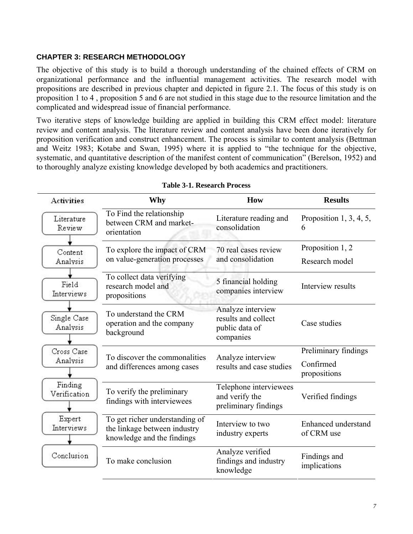# **CHAPTER 3: RESEARCH METHODOLOGY**

The objective of this study is to build a thorough understanding of the chained effects of CRM on organizational performance and the influential management activities. The research model with propositions are described in previous chapter and depicted in figure 2.1. The focus of this study is on proposition 1 to 4 , proposition 5 and 6 are not studied in this stage due to the resource limitation and the complicated and widespread issue of financial performance.

Two iterative steps of knowledge building are applied in building this CRM effect model: literature review and content analysis. The literature review and content analysis have been done iteratively for proposition verification and construct enhancement. The process is similar to content analysis (Bettman and Weitz 1983; Kotabe and Swan, 1995) where it is applied to "the technique for the objective, systematic, and quantitative description of the manifest content of communication" (Berelson, 1952) and to thoroughly analyze existing knowledge developed by both academics and practitioners.

| <b>Activities</b>       | Why                                                                                          | How                                                                     | <b>Results</b>                     |
|-------------------------|----------------------------------------------------------------------------------------------|-------------------------------------------------------------------------|------------------------------------|
| Literature<br>Review    | To Find the relationship<br>between CRM and market-<br>orientation                           | Literature reading and<br>consolidation                                 | Proposition 1, 3, 4, 5,<br>6       |
| Content<br>Analysis     | To explore the impact of CRM<br>on value-generation processes                                | 70 real cases review<br>and consolidation                               | Proposition 1, 2<br>Research model |
| Field<br>Interviews     | To collect data verifying<br>research model and<br>propositions                              | 5 financial holding<br>companies interview                              | Interview results                  |
| Single Case<br>Analysis | To understand the CRM<br>operation and the company<br>background                             | Analyze interview<br>results and collect<br>public data of<br>companies | Case studies                       |
| Cross Case              |                                                                                              |                                                                         | Preliminary findings               |
| Analysis                | To discover the commonalities<br>and differences among cases                                 | Analyze interview<br>results and case studies                           | Confirmed<br>propositions          |
| Finding<br>Verification | To verify the preliminary<br>findings with interviewees                                      | Telephone interviewees<br>and verify the<br>preliminary findings        | Verified findings                  |
| Expert<br>Interviews    | To get richer understanding of<br>the linkage between industry<br>knowledge and the findings | Interview to two<br>industry experts                                    | Enhanced understand<br>of CRM use  |
| Conclusion              | To make conclusion                                                                           | Analyze verified<br>findings and industry<br>knowledge                  | Findings and<br>implications       |

#### **Table 3-1. Research Process**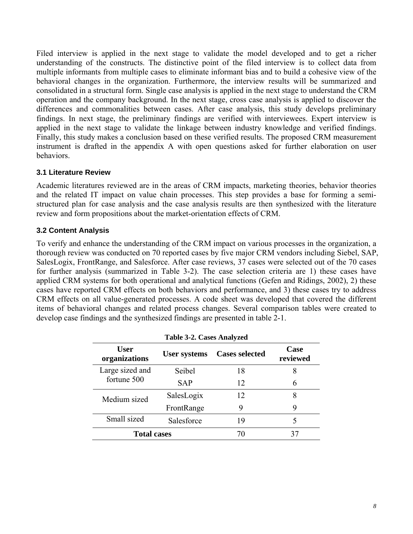Filed interview is applied in the next stage to validate the model developed and to get a richer understanding of the constructs. The distinctive point of the filed interview is to collect data from multiple informants from multiple cases to eliminate informant bias and to build a cohesive view of the behavioral changes in the organization. Furthermore, the interview results will be summarized and consolidated in a structural form. Single case analysis is applied in the next stage to understand the CRM operation and the company background. In the next stage, cross case analysis is applied to discover the differences and commonalities between cases. After case analysis, this study develops preliminary findings. In next stage, the preliminary findings are verified with interviewees. Expert interview is applied in the next stage to validate the linkage between industry knowledge and verified findings. Finally, this study makes a conclusion based on these verified results. The proposed CRM measurement instrument is drafted in the appendix A with open questions asked for further elaboration on user behaviors.

### **3.1 Literature Review**

Academic literatures reviewed are in the areas of CRM impacts, marketing theories, behavior theories and the related IT impact on value chain processes. This step provides a base for forming a semistructured plan for case analysis and the case analysis results are then synthesized with the literature review and form propositions about the market-orientation effects of CRM.

# **3.2 Content Analysis**

To verify and enhance the understanding of the CRM impact on various processes in the organization, a thorough review was conducted on 70 reported cases by five major CRM vendors including Siebel, SAP, SalesLogix, FrontRange, and Salesforce. After case reviews, 37 cases were selected out of the 70 cases for further analysis (summarized in Table 3-2). The case selection criteria are 1) these cases have applied CRM systems for both operational and analytical functions (Gefen and Ridings, 2002), 2) these cases have reported CRM effects on both behaviors and performance, and 3) these cases try to address CRM effects on all value-generated processes. A code sheet was developed that covered the different items of behavioral changes and related process changes. Several comparison tables were created to develop case findings and the synthesized findings are presented in table 2-1.

| <b>Table 3-2. Cases Analyzed</b> |                     |                       |                  |
|----------------------------------|---------------------|-----------------------|------------------|
| <b>User</b><br>organizations     | <b>User systems</b> | <b>Cases selected</b> | Case<br>reviewed |
| Large sized and                  | Seibel              | 18                    | 8                |
| fortune 500                      | <b>SAP</b>          | 12                    | 6                |
| Medium sized                     | SalesLogix          | 12                    | 8                |
|                                  | FrontRange          | 9                     | 9                |
| Small sized                      | Salesforce          | 19                    |                  |
| <b>Total cases</b>               |                     | 70                    | 37               |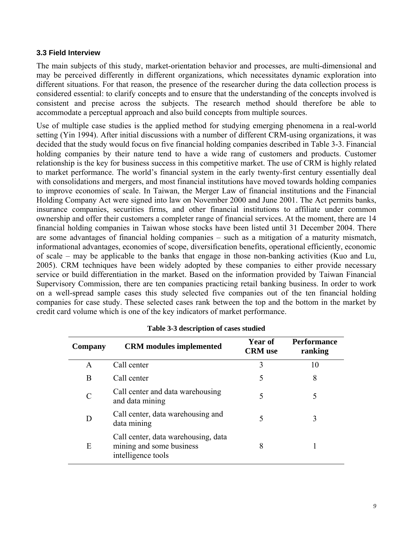### **3.3 Field Interview**

The main subjects of this study, market-orientation behavior and processes, are multi-dimensional and may be perceived differently in different organizations, which necessitates dynamic exploration into different situations. For that reason, the presence of the researcher during the data collection process is considered essential: to clarify concepts and to ensure that the understanding of the concepts involved is consistent and precise across the subjects. The research method should therefore be able to accommodate a perceptual approach and also build concepts from multiple sources.

Use of multiple case studies is the applied method for studying emerging phenomena in a real-world setting (Yin 1994). After initial discussions with a number of different CRM-using organizations, it was decided that the study would focus on five financial holding companies described in Table 3-3. Financial holding companies by their nature tend to have a wide rang of customers and products. Customer relationship is the key for business success in this competitive market. The use of CRM is highly related to market performance. The world's financial system in the early twenty-first century essentially deal with consolidations and mergers, and most financial institutions have moved towards holding companies to improve economies of scale. In Taiwan, the Merger Law of financial institutions and the Financial Holding Company Act were signed into law on November 2000 and June 2001. The Act permits banks, insurance companies, securities firms, and other financial institutions to affiliate under common ownership and offer their customers a completer range of financial services. At the moment, there are 14 financial holding companies in Taiwan whose stocks have been listed until 31 December 2004. There are some advantages of financial holding companies – such as a mitigation of a maturity mismatch, informational advantages, economies of scope, diversification benefits, operational efficiently, economic of scale – may be applicable to the banks that engage in those non-banking activities (Kuo and Lu, 2005). CRM techniques have been widely adopted by these companies to either provide necessary service or build differentiation in the market. Based on the information provided by Taiwan Financial Supervisory Commission, there are ten companies practicing retail banking business. In order to work on a well-spread sample cases this study selected five companies out of the ten financial holding companies for case study. These selected cases rank between the top and the bottom in the market by credit card volume which is one of the key indicators of market performance.

| Company | <b>CRM</b> modules implemented                                                        | Year of<br><b>CRM</b> use | <b>Performance</b><br>ranking |
|---------|---------------------------------------------------------------------------------------|---------------------------|-------------------------------|
| A       | Call center                                                                           | 3                         | 10                            |
| B       | Call center                                                                           | 5                         | 8                             |
|         | Call center and data warehousing<br>and data mining                                   | 5                         |                               |
| D       | Call center, data warehousing and<br>data mining                                      | 5                         | 3                             |
| E       | Call center, data warehousing, data<br>mining and some business<br>intelligence tools | 8                         |                               |

|  | Table 3-3 description of cases studied |  |  |
|--|----------------------------------------|--|--|
|--|----------------------------------------|--|--|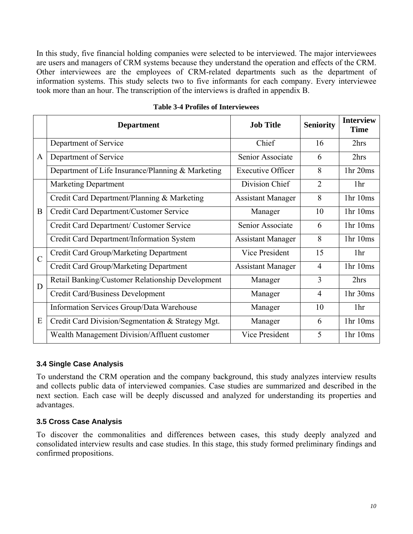In this study, five financial holding companies were selected to be interviewed. The major interviewees are users and managers of CRM systems because they understand the operation and effects of the CRM. Other interviewees are the employees of CRM-related departments such as the department of information systems. This study selects two to five informants for each company. Every interviewee took more than an hour. The transcription of the interviews is drafted in appendix B.

|               | <b>Department</b>                                 | <b>Job Title</b>         | <b>Seniority</b>                         | <b>Interview</b><br><b>Time</b>  |
|---------------|---------------------------------------------------|--------------------------|------------------------------------------|----------------------------------|
| A             | Department of Service                             | Chief                    | 16                                       | 2hrs                             |
|               | Department of Service                             | Senior Associate         | 6                                        | 2hrs                             |
|               | Department of Life Insurance/Planning & Marketing | <b>Executive Officer</b> | 8                                        | 1 <sub>hr</sub> 20 <sub>ms</sub> |
| B             | <b>Marketing Department</b>                       | Division Chief           | $\overline{2}$                           | 1 <sup>hr</sup>                  |
|               | Credit Card Department/Planning & Marketing       | <b>Assistant Manager</b> | 8                                        | 1 <sup>hr</sup> 10 <sup>ms</sup> |
|               | Credit Card Department/Customer Service           | Manager                  | 10                                       | 1 <sup>hr</sup> 10 <sup>ms</sup> |
|               | Credit Card Department/ Customer Service          | Senior Associate         | 6                                        | 1 <sup>hr</sup> 10 <sup>ms</sup> |
|               | Credit Card Department/Information System         | <b>Assistant Manager</b> | 8                                        | 1 <sup>hr</sup> 10 <sup>ms</sup> |
| $\mathcal{C}$ | Credit Card Group/Marketing Department            | Vice President           | 15                                       | 1 <sub>hr</sub>                  |
|               | Credit Card Group/Marketing Department            | <b>Assistant Manager</b> | $\overline{4}$<br>3<br>4<br>10<br>6<br>5 | 1hr 10ms                         |
| D             | Retail Banking/Customer Relationship Development  | Manager                  |                                          | 2hrs                             |
|               | Credit Card/Business Development                  | Manager                  |                                          | 1hr 30ms                         |
| E             | Information Services Group/Data Warehouse         | Manager                  |                                          | 1 <sup>hr</sup>                  |
|               | Credit Card Division/Segmentation & Strategy Mgt. | Manager                  |                                          | 1 <sup>hr</sup> 10 <sup>ms</sup> |
|               | Wealth Management Division/Affluent customer      | Vice President           |                                          | 1 <sup>hr</sup> 10 <sup>ms</sup> |

#### **Table 3-4 Profiles of Interviewees**

### **3.4 Single Case Analysis**

To understand the CRM operation and the company background, this study analyzes interview results and collects public data of interviewed companies. Case studies are summarized and described in the next section. Each case will be deeply discussed and analyzed for understanding its properties and advantages.

# **3.5 Cross Case Analysis**

To discover the commonalities and differences between cases, this study deeply analyzed and consolidated interview results and case studies. In this stage, this study formed preliminary findings and confirmed propositions.